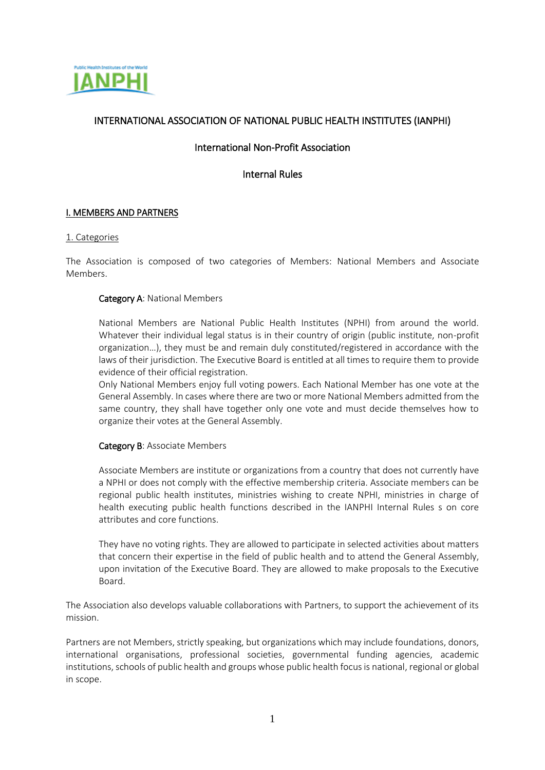

# INTERNATIONAL ASSOCIATION OF NATIONAL PUBLIC HEALTH INSTITUTES (IANPHI)

## International Non-Profit Association

Internal Rules

## I. MEMBERS AND PARTNERS

#### 1. Categories

The Association is composed of two categories of Members: National Members and Associate Members.

#### Category A: National Members

National Members are National Public Health Institutes (NPHI) from around the world. Whatever their individual legal status is in their country of origin (public institute, non-profit organization…), they must be and remain duly constituted/registered in accordance with the laws of their jurisdiction. The Executive Board is entitled at all times to require them to provide evidence of their official registration.

Only National Members enjoy full voting powers. Each National Member has one vote at the General Assembly. In cases where there are two or more National Members admitted from the same country, they shall have together only one vote and must decide themselves how to organize their votes at the General Assembly.

#### Category B: Associate Members

Associate Members are institute or organizations from a country that does not currently have a NPHI or does not comply with the effective membership criteria. Associate members can be regional public health institutes, ministries wishing to create NPHI, ministries in charge of health executing public health functions described in the IANPHI Internal Rules s on core attributes and core functions.

They have no voting rights. They are allowed to participate in selected activities about matters that concern their expertise in the field of public health and to attend the General Assembly, upon invitation of the Executive Board. They are allowed to make proposals to the Executive Board.

The Association also develops valuable collaborations with Partners, to support the achievement of its mission.

Partners are not Members, strictly speaking, but organizations which may include foundations, donors, international organisations, professional societies, governmental funding agencies, academic institutions, schools of public health and groups whose public health focus is national, regional or global in scope.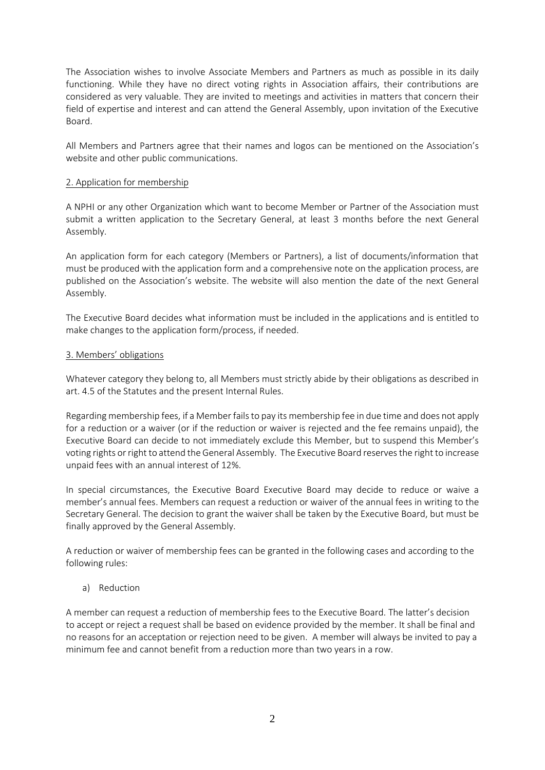The Association wishes to involve Associate Members and Partners as much as possible in its daily functioning. While they have no direct voting rights in Association affairs, their contributions are considered as very valuable. They are invited to meetings and activities in matters that concern their field of expertise and interest and can attend the General Assembly, upon invitation of the Executive Board.

All Members and Partners agree that their names and logos can be mentioned on the Association's website and other public communications.

## 2. Application for membership

A NPHI or any other Organization which want to become Member or Partner of the Association must submit a written application to the Secretary General, at least 3 months before the next General Assembly.

An application form for each category (Members or Partners), a list of documents/information that must be produced with the application form and a comprehensive note on the application process, are published on the Association's website. The website will also mention the date of the next General Assembly.

The Executive Board decides what information must be included in the applications and is entitled to make changes to the application form/process, if needed.

#### 3. Members' obligations

Whatever category they belong to, all Members must strictly abide by their obligations as described in art. 4.5 of the Statutes and the present Internal Rules.

Regarding membership fees, if a Member fails to pay its membership fee in due time and does not apply for a reduction or a waiver (or if the reduction or waiver is rejected and the fee remains unpaid), the Executive Board can decide to not immediately exclude this Member, but to suspend this Member's voting rights or right to attend the General Assembly. The Executive Board reserves the right to increase unpaid fees with an annual interest of 12%.

In special circumstances, the Executive Board Executive Board may decide to reduce or waive a member's annual fees. Members can request a reduction or waiver of the annual fees in writing to the Secretary General. The decision to grant the waiver shall be taken by the Executive Board, but must be finally approved by the General Assembly.

A reduction or waiver of membership fees can be granted in the following cases and according to the following rules:

#### a) Reduction

A member can request a reduction of membership fees to the Executive Board. The latter's decision to accept or reject a request shall be based on evidence provided by the member. It shall be final and no reasons for an acceptation or rejection need to be given. A member will always be invited to pay a minimum fee and cannot benefit from a reduction more than two years in a row.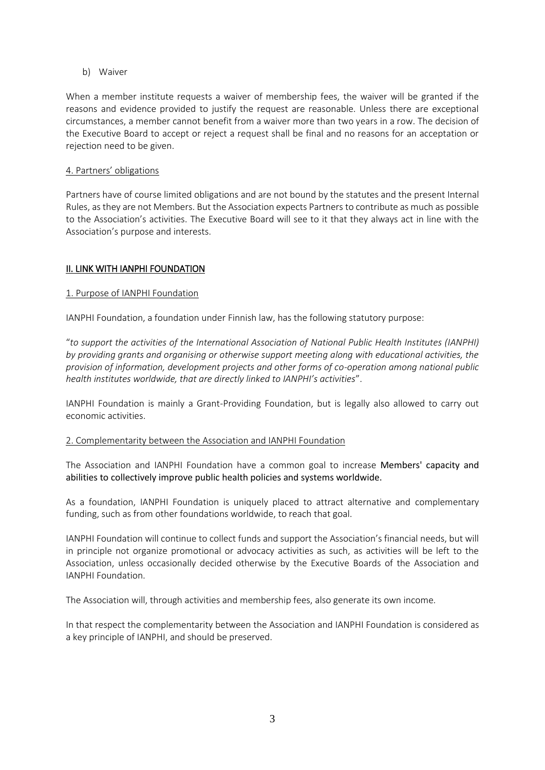b) Waiver

When a member institute requests a waiver of membership fees, the waiver will be granted if the reasons and evidence provided to justify the request are reasonable. Unless there are exceptional circumstances, a member cannot benefit from a waiver more than two years in a row. The decision of the Executive Board to accept or reject a request shall be final and no reasons for an acceptation or rejection need to be given.

## 4. Partners' obligations

Partners have of course limited obligations and are not bound by the statutes and the present Internal Rules, as they are not Members. But the Association expects Partners to contribute as much as possible to the Association's activities. The Executive Board will see to it that they always act in line with the Association's purpose and interests.

## II. LINK WITH IANPHI FOUNDATION

## 1. Purpose of IANPHI Foundation

IANPHI Foundation, a foundation under Finnish law, has the following statutory purpose:

"*to support the activities of the International Association of National Public Health Institutes (IANPHI) by providing grants and organising or otherwise support meeting along with educational activities, the provision of information, development projects and other forms of co-operation among national public health institutes worldwide, that are directly linked to IANPHI's activities*".

IANPHI Foundation is mainly a Grant-Providing Foundation, but is legally also allowed to carry out economic activities.

#### 2. Complementarity between the Association and IANPHI Foundation

The Association and IANPHI Foundation have a common goal to increase Members' capacity and abilities to collectively improve public health policies and systems worldwide.

As a foundation, IANPHI Foundation is uniquely placed to attract alternative and complementary funding, such as from other foundations worldwide, to reach that goal.

IANPHI Foundation will continue to collect funds and support the Association's financial needs, but will in principle not organize promotional or advocacy activities as such, as activities will be left to the Association, unless occasionally decided otherwise by the Executive Boards of the Association and IANPHI Foundation.

The Association will, through activities and membership fees, also generate its own income.

In that respect the complementarity between the Association and IANPHI Foundation is considered as a key principle of IANPHI, and should be preserved.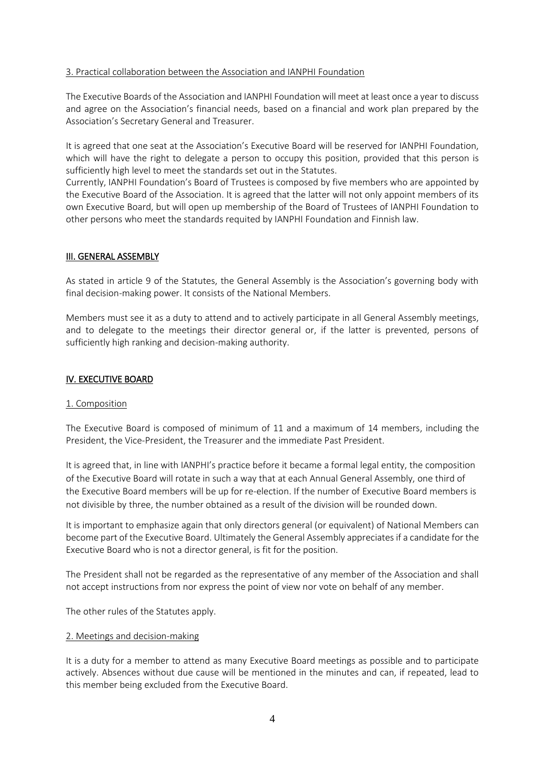#### 3. Practical collaboration between the Association and IANPHI Foundation

The Executive Boards of the Association and IANPHI Foundation will meet at least once a year to discuss and agree on the Association's financial needs, based on a financial and work plan prepared by the Association's Secretary General and Treasurer.

It is agreed that one seat at the Association's Executive Board will be reserved for IANPHI Foundation, which will have the right to delegate a person to occupy this position, provided that this person is sufficiently high level to meet the standards set out in the Statutes.

Currently, IANPHI Foundation's Board of Trustees is composed by five members who are appointed by the Executive Board of the Association. It is agreed that the latter will not only appoint members of its own Executive Board, but will open up membership of the Board of Trustees of IANPHI Foundation to other persons who meet the standards requited by IANPHI Foundation and Finnish law.

## III. GENERAL ASSEMBLY

As stated in article 9 of the Statutes, the General Assembly is the Association's governing body with final decision-making power. It consists of the National Members.

Members must see it as a duty to attend and to actively participate in all General Assembly meetings, and to delegate to the meetings their director general or, if the latter is prevented, persons of sufficiently high ranking and decision-making authority.

## IV. EXECUTIVE BOARD

#### 1. Composition

The Executive Board is composed of minimum of 11 and a maximum of 14 members, including the President, the Vice-President, the Treasurer and the immediate Past President.

It is agreed that, in line with IANPHI's practice before it became a formal legal entity, the composition of the Executive Board will rotate in such a way that at each Annual General Assembly, one third of the Executive Board members will be up for re-election. If the number of Executive Board members is not divisible by three, the number obtained as a result of the division will be rounded down.

It is important to emphasize again that only directors general (or equivalent) of National Members can become part of the Executive Board. Ultimately the General Assembly appreciates if a candidate for the Executive Board who is not a director general, is fit for the position.

The President shall not be regarded as the representative of any member of the Association and shall not accept instructions from nor express the point of view nor vote on behalf of any member.

The other rules of the Statutes apply.

#### 2. Meetings and decision-making

It is a duty for a member to attend as many Executive Board meetings as possible and to participate actively. Absences without due cause will be mentioned in the minutes and can, if repeated, lead to this member being excluded from the Executive Board.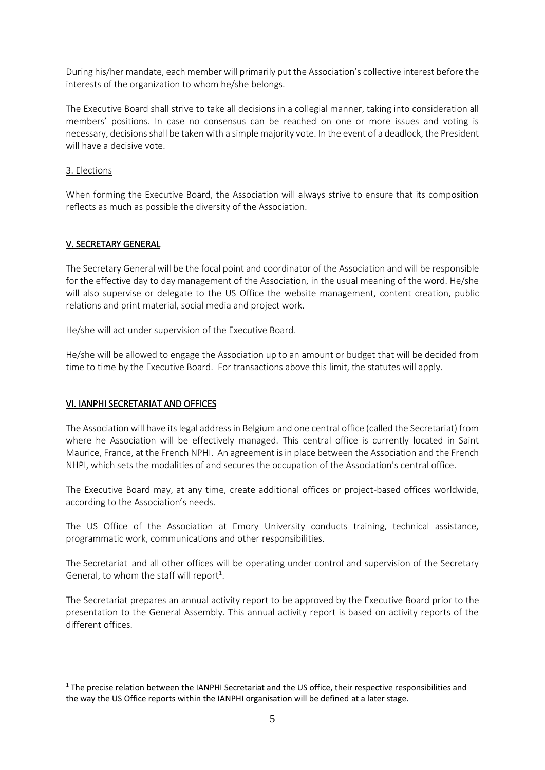During his/her mandate, each member will primarily put the Association's collective interest before the interests of the organization to whom he/she belongs.

The Executive Board shall strive to take all decisions in a collegial manner, taking into consideration all members' positions. In case no consensus can be reached on one or more issues and voting is necessary, decisions shall be taken with a simple majority vote. In the event of a deadlock, the President will have a decisive vote.

## 3. Elections

**.** 

When forming the Executive Board, the Association will always strive to ensure that its composition reflects as much as possible the diversity of the Association.

## V. SECRETARY GENERAL

The Secretary General will be the focal point and coordinator of the Association and will be responsible for the effective day to day management of the Association, in the usual meaning of the word. He/she will also supervise or delegate to the US Office the website management, content creation, public relations and print material, social media and project work.

He/she will act under supervision of the Executive Board.

He/she will be allowed to engage the Association up to an amount or budget that will be decided from time to time by the Executive Board. For transactions above this limit, the statutes will apply.

## VI. IANPHI SECRETARIAT AND OFFICES

The Association will have its legal address in Belgium and one central office (called the Secretariat) from where he Association will be effectively managed. This central office is currently located in Saint Maurice, France, at the French NPHI. An agreement is in place between the Association and the French NHPI, which sets the modalities of and secures the occupation of the Association's central office.

The Executive Board may, at any time, create additional offices or project-based offices worldwide, according to the Association's needs.

The US Office of the Association at Emory University conducts training, technical assistance, programmatic work, communications and other responsibilities.

The Secretariat and all other offices will be operating under control and supervision of the Secretary General, to whom the staff will report<sup>1</sup>.

The Secretariat prepares an annual activity report to be approved by the Executive Board prior to the presentation to the General Assembly. This annual activity report is based on activity reports of the different offices.

<sup>&</sup>lt;sup>1</sup> The precise relation between the IANPHI Secretariat and the US office, their respective responsibilities and the way the US Office reports within the IANPHI organisation will be defined at a later stage.